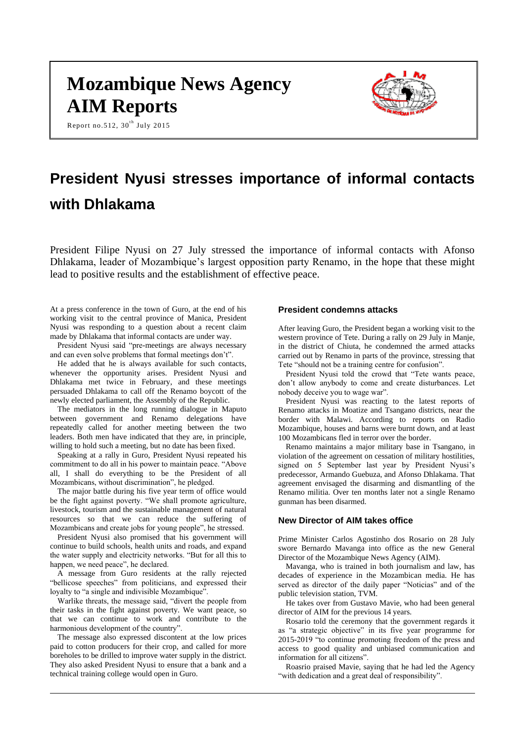# **Mozambique News Agency AIM Reports**



Report no.512,  $30^{\text{th}}$  July 2015

# **President Nyusi stresses importance of informal contacts with Dhlakama**

President Filipe Nyusi on 27 July stressed the importance of informal contacts with Afonso Dhlakama, leader of Mozambique's largest opposition party Renamo, in the hope that these might lead to positive results and the establishment of effective peace.

At a press conference in the town of Guro, at the end of his working visit to the central province of Manica, President Nyusi was responding to a question about a recent claim made by Dhlakama that informal contacts are under way.

President Nyusi said "pre-meetings are always necessary and can even solve problems that formal meetings don't".

He added that he is always available for such contacts, whenever the opportunity arises. President Nyusi and Dhlakama met twice in February, and these meetings persuaded Dhlakama to call off the Renamo boycott of the newly elected parliament, the Assembly of the Republic.

The mediators in the long running dialogue in Maputo between government and Renamo delegations have repeatedly called for another meeting between the two leaders. Both men have indicated that they are, in principle, willing to hold such a meeting, but no date has been fixed.

Speaking at a rally in Guro, President Nyusi repeated his commitment to do all in his power to maintain peace. "Above all, I shall do everything to be the President of all Mozambicans, without discrimination", he pledged.

The major battle during his five year term of office would be the fight against poverty. "We shall promote agriculture, livestock, tourism and the sustainable management of natural resources so that we can reduce the suffering of Mozambicans and create jobs for young people", he stressed.

President Nyusi also promised that his government will continue to build schools, health units and roads, and expand the water supply and electricity networks. "But for all this to happen, we need peace", he declared.

A message from Guro residents at the rally rejected "bellicose speeches" from politicians, and expressed their loyalty to "a single and indivisible Mozambique".

Warlike threats, the message said, "divert the people from their tasks in the fight against poverty. We want peace, so that we can continue to work and contribute to the harmonious development of the country".

The message also expressed discontent at the low prices paid to cotton producers for their crop, and called for more boreholes to be drilled to improve water supply in the district. They also asked President Nyusi to ensure that a bank and a technical training college would open in Guro.

#### **President condemns attacks**

After leaving Guro, the President began a working visit to the western province of Tete. During a rally on 29 July in Manje, in the district of Chiuta, he condemned the armed attacks carried out by Renamo in parts of the province, stressing that Tete "should not be a training centre for confusion".

President Nyusi told the crowd that "Tete wants peace, don't allow anybody to come and create disturbances. Let nobody deceive you to wage war".

President Nyusi was reacting to the latest reports of Renamo attacks in Moatize and Tsangano districts, near the border with Malawi. According to reports on Radio Mozambique, houses and barns were burnt down, and at least 100 Mozambicans fled in terror over the border.

Renamo maintains a major military base in Tsangano, in violation of the agreement on cessation of military hostilities, signed on 5 September last year by President Nyusi's predecessor, Armando Guebuza, and Afonso Dhlakama. That agreement envisaged the disarming and dismantling of the Renamo militia. Over ten months later not a single Renamo gunman has been disarmed.

## **New Director of AIM takes office**

Prime Minister Carlos Agostinho dos Rosario on 28 July swore Bernardo Mavanga into office as the new General Director of the Mozambique News Agency (AIM).

Mavanga, who is trained in both journalism and law, has decades of experience in the Mozambican media. He has served as director of the daily paper "Noticias" and of the public television station, TVM.

He takes over from Gustavo Mavie, who had been general director of AIM for the previous 14 years.

Rosario told the ceremony that the government regards it as "a strategic objective" in its five year programme for 2015-2019 "to continue promoting freedom of the press and access to good quality and unbiased communication and information for all citizens".

Roasrio praised Mavie, saying that he had led the Agency "with dedication and a great deal of responsibility".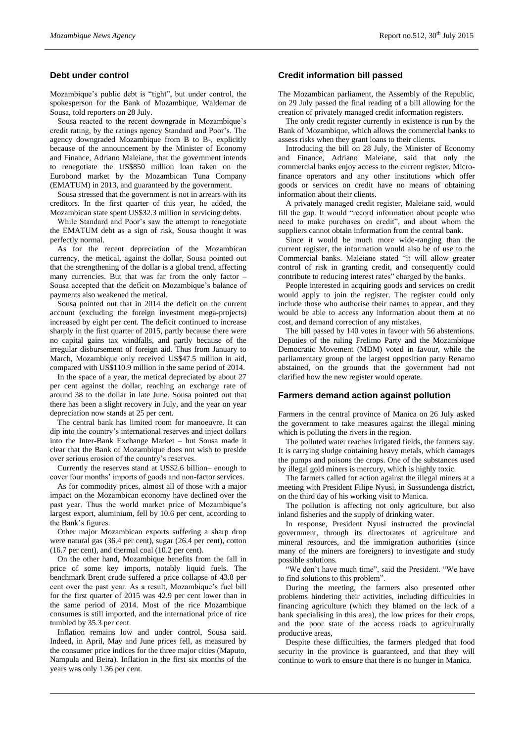## **Debt under control**

Mozambique's public debt is "tight", but under control, the spokesperson for the Bank of Mozambique, Waldemar de Sousa, told reporters on 28 July.

Sousa reacted to the recent downgrade in Mozambique's credit rating, by the ratings agency Standard and Poor's. The agency downgraded Mozambique from B to B-, explicitly because of the announcement by the Minister of Economy and Finance, Adriano Maleiane, that the government intends to renegotiate the US\$850 million loan taken on the Eurobond market by the Mozambican Tuna Company (EMATUM) in 2013, and guaranteed by the government.

Sousa stressed that the government is not in arrears with its creditors. In the first quarter of this year, he added, the Mozambican state spent US\$32.3 million in servicing debts.

While Standard and Poor's saw the attempt to renegotiate the EMATUM debt as a sign of risk, Sousa thought it was perfectly normal.

As for the recent depreciation of the Mozambican currency, the metical, against the dollar, Sousa pointed out that the strengthening of the dollar is a global trend, affecting many currencies. But that was far from the only factor – Sousa accepted that the deficit on Mozambique's balance of payments also weakened the metical.

Sousa pointed out that in 2014 the deficit on the current account (excluding the foreign investment mega-projects) increased by eight per cent. The deficit continued to increase sharply in the first quarter of 2015, partly because there were no capital gains tax windfalls, and partly because of the irregular disbursement of foreign aid. Thus from January to March, Mozambique only received US\$47.5 million in aid, compared with US\$110.9 million in the same period of 2014.

In the space of a year, the metical depreciated by about 27 per cent against the dollar, reaching an exchange rate of around 38 to the dollar in late June. Sousa pointed out that there has been a slight recovery in July, and the year on year depreciation now stands at 25 per cent.

The central bank has limited room for manoeuvre. It can dip into the country's international reserves and inject dollars into the Inter-Bank Exchange Market – but Sousa made it clear that the Bank of Mozambique does not wish to preside over serious erosion of the country's reserves.

Currently the reserves stand at US\$2.6 billion– enough to cover four months' imports of goods and non-factor services.

As for commodity prices, almost all of those with a major impact on the Mozambican economy have declined over the past year. Thus the world market price of Mozambique's largest export, aluminium, fell by 10.6 per cent, according to the Bank's figures.

Other major Mozambican exports suffering a sharp drop were natural gas (36.4 per cent), sugar (26.4 per cent), cotton (16.7 per cent), and thermal coal (10.2 per cent).

On the other hand, Mozambique benefits from the fall in price of some key imports, notably liquid fuels. The benchmark Brent crude suffered a price collapse of 43.8 per cent over the past year. As a result, Mozambique's fuel bill for the first quarter of 2015 was 42.9 per cent lower than in the same period of 2014. Most of the rice Mozambique consumes is still imported, and the international price of rice tumbled by 35.3 per cent.

Inflation remains low and under control, Sousa said. Indeed, in April, May and June prices fell, as measured by the consumer price indices for the three major cities (Maputo, Nampula and Beira). Inflation in the first six months of the years was only 1.36 per cent.

### **Credit information bill passed**

The Mozambican parliament, the Assembly of the Republic, on 29 July passed the final reading of a bill allowing for the creation of privately managed credit information registers.

The only credit register currently in existence is run by the Bank of Mozambique, which allows the commercial banks to assess risks when they grant loans to their clients.

Introducing the bill on 28 July, the Minister of Economy and Finance, Adriano Maleiane, said that only the commercial banks enjoy access to the current register. Microfinance operators and any other institutions which offer goods or services on credit have no means of obtaining information about their clients.

A privately managed credit register, Maleiane said, would fill the gap. It would "record information about people who need to make purchases on credit", and about whom the suppliers cannot obtain information from the central bank.

Since it would be much more wide-ranging than the current register, the information would also be of use to the Commercial banks. Maleiane stated "it will allow greater control of risk in granting credit, and consequently could contribute to reducing interest rates" charged by the banks.

People interested in acquiring goods and services on credit would apply to join the register. The register could only include those who authorise their names to appear, and they would be able to access any information about them at no cost, and demand correction of any mistakes.

The bill passed by 140 votes in favour with 56 abstentions. Deputies of the ruling Frelimo Party and the Mozambique Democratic Movement (MDM) voted in favour, while the parliamentary group of the largest opposition party Renamo abstained, on the grounds that the government had not clarified how the new register would operate.

### **Farmers demand action against pollution**

Farmers in the central province of Manica on 26 July asked the government to take measures against the illegal mining which is polluting the rivers in the region.

The polluted water reaches irrigated fields, the farmers say. It is carrying sludge containing heavy metals, which damages the pumps and poisons the crops. One of the substances used by illegal gold miners is mercury, which is highly toxic.

The farmers called for action against the illegal miners at a meeting with President Filipe Nyusi, in Sussundenga district, on the third day of his working visit to Manica.

The pollution is affecting not only agriculture, but also inland fisheries and the supply of drinking water.

In response, President Nyusi instructed the provincial government, through its directorates of agriculture and mineral resources, and the immigration authorities (since many of the miners are foreigners) to investigate and study possible solutions.

"We don't have much time", said the President. "We have to find solutions to this problem".

During the meeting, the farmers also presented other problems hindering their activities, including difficulties in financing agriculture (which they blamed on the lack of a bank specialising in this area), the low prices for their crops, and the poor state of the access roads to agriculturally productive areas,

Despite these difficulties, the farmers pledged that food security in the province is guaranteed, and that they will continue to work to ensure that there is no hunger in Manica.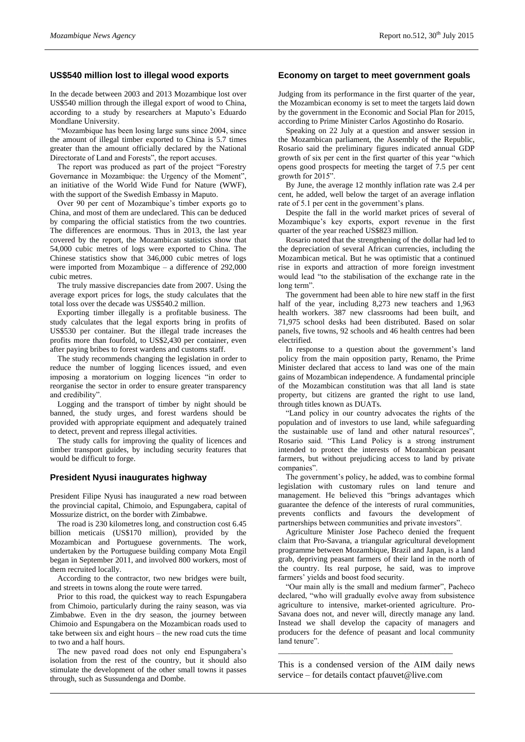## **US\$540 million lost to illegal wood exports**

In the decade between 2003 and 2013 Mozambique lost over US\$540 million through the illegal export of wood to China, according to a study by researchers at Maputo's Eduardo Mondlane University.

"Mozambique has been losing large suns since 2004, since the amount of illegal timber exported to China is 5.7 times greater than the amount officially declared by the National Directorate of Land and Forests", the report accuses.

The report was produced as part of the project "Forestry Governance in Mozambique: the Urgency of the Moment", an initiative of the World Wide Fund for Nature (WWF), with the support of the Swedish Embassy in Maputo.

Over 90 per cent of Mozambique's timber exports go to China, and most of them are undeclared. This can be deduced by comparing the official statistics from the two countries. The differences are enormous. Thus in 2013, the last year covered by the report, the Mozambican statistics show that 54,000 cubic metres of logs were exported to China. The Chinese statistics show that 346,000 cubic metres of logs were imported from Mozambique – a difference of 292,000 cubic metres.

The truly massive discrepancies date from 2007. Using the average export prices for logs, the study calculates that the total loss over the decade was US\$540.2 million.

Exporting timber illegally is a profitable business. The study calculates that the legal exports bring in profits of US\$530 per container. But the illegal trade increases the profits more than fourfold, to US\$2,430 per container, even after paying bribes to forest wardens and customs staff.

The study recommends changing the legislation in order to reduce the number of logging licences issued, and even imposing a moratorium on logging licences "in order to reorganise the sector in order to ensure greater transparency and credibility".

Logging and the transport of timber by night should be banned, the study urges, and forest wardens should be provided with appropriate equipment and adequately trained to detect, prevent and repress illegal activities.

The study calls for improving the quality of licences and timber transport guides, by including security features that would be difficult to forge.

# **President Nyusi inaugurates highway**

President Filipe Nyusi has inaugurated a new road between the provincial capital, Chimoio, and Espungabera, capital of Mossurize district, on the border with Zimbabwe.

The road is 230 kilometres long, and construction cost 6.45 billion meticais (US\$170 million), provided by the Mozambican and Portuguese governments. The work, undertaken by the Portuguese building company Mota Engil began in September 2011, and involved 800 workers, most of them recruited locally.

According to the contractor, two new bridges were built, and streets in towns along the route were tarred.

Prior to this road, the quickest way to reach Espungabera from Chimoio, particularly during the rainy season, was via Zimbabwe. Even in the dry season, the journey between Chimoio and Espungabera on the Mozambican roads used to take between six and eight hours – the new road cuts the time to two and a half hours.

The new paved road does not only end Espungabera's isolation from the rest of the country, but it should also stimulate the development of the other small towns it passes through, such as Sussundenga and Dombe.

## **Economy on target to meet government goals**

Judging from its performance in the first quarter of the year, the Mozambican economy is set to meet the targets laid down by the government in the Economic and Social Plan for 2015, according to Prime Minister Carlos Agostinho do Rosario.

Speaking on 22 July at a question and answer session in the Mozambican parliament, the Assembly of the Republic, Rosario said the preliminary figures indicated annual GDP growth of six per cent in the first quarter of this year "which opens good prospects for meeting the target of 7.5 per cent growth for 2015".

By June, the average 12 monthly inflation rate was 2.4 per cent, he added, well below the target of an average inflation rate of 5.1 per cent in the government's plans.

Despite the fall in the world market prices of several of Mozambique's key exports, export revenue in the first quarter of the year reached US\$823 million.

Rosario noted that the strengthening of the dollar had led to the depreciation of several African currencies, including the Mozambican metical. But he was optimistic that a continued rise in exports and attraction of more foreign investment would lead "to the stabilisation of the exchange rate in the long term".

The government had been able to hire new staff in the first half of the year, including 8,273 new teachers and 1,963 health workers. 387 new classrooms had been built, and 71,975 school desks had been distributed. Based on solar panels, five towns, 92 schools and 46 health centres had been electrified.

In response to a question about the government's land policy from the main opposition party, Renamo, the Prime Minister declared that access to land was one of the main gains of Mozambican independence. A fundamental principle of the Mozambican constitution was that all land is state property, but citizens are granted the right to use land, through titles known as DUATs.

"Land policy in our country advocates the rights of the population and of investors to use land, while safeguarding the sustainable use of land and other natural resources", Rosario said. "This Land Policy is a strong instrument intended to protect the interests of Mozambican peasant farmers, but without prejudicing access to land by private companies".

The government's policy, he added, was to combine formal legislation with customary rules on land tenure and management. He believed this "brings advantages which guarantee the defence of the interests of rural communities, prevents conflicts and favours the development of partnerships between communities and private investors".

Agriculture Minister Jose Pacheco denied the frequent claim that Pro-Savana, a triangular agricultural development programme between Mozambique, Brazil and Japan, is a land grab, depriving peasant farmers of their land in the north of the country. Its real purpose, he said, was to improve farmers' yields and boost food security.

"Our main ally is the small and medium farmer", Pacheco declared, "who will gradually evolve away from subsistence agriculture to intensive, market-oriented agriculture. Pro-Savana does not, and never will, directly manage any land. Instead we shall develop the capacity of managers and producers for the defence of peasant and local community land tenure".

This is a condensed version of the AIM daily news service – for details contact [pfauvet@live.com](mailto:pfauvet@live.com)

\_\_\_\_\_\_\_\_\_\_\_\_\_\_\_\_\_\_\_\_\_\_\_\_\_\_\_\_\_\_\_\_\_\_\_\_\_\_\_\_\_\_\_\_